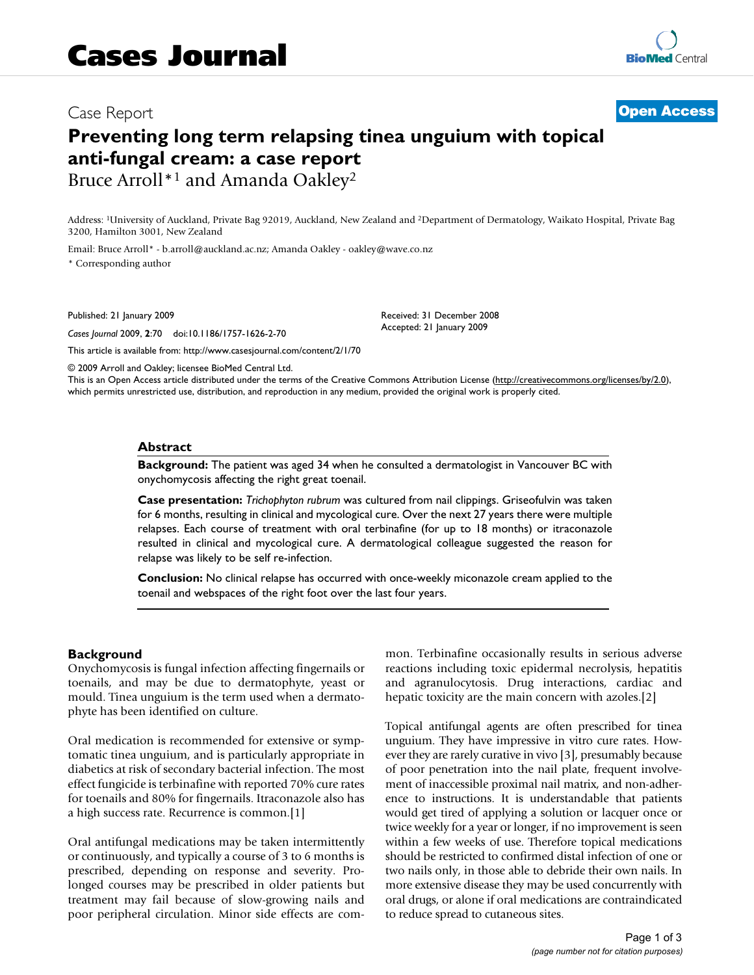## Case Report **[Open Access](http://www.biomedcentral.com/info/about/charter/)**

# **Preventing long term relapsing tinea unguium with topical anti-fungal cream: a case report** Bruce Arroll<sup>\*1</sup> and Amanda Oakley<sup>2</sup>

Address: 1University of Auckland, Private Bag 92019, Auckland, New Zealand and 2Department of Dermatology, Waikato Hospital, Private Bag 3200, Hamilton 3001, New Zealand

Email: Bruce Arroll\* - b.arroll@auckland.ac.nz; Amanda Oakley - oakley@wave.co.nz

\* Corresponding author

Published: 21 January 2009

*Cases Journal* 2009, **2**:70 doi:10.1186/1757-1626-2-70

[This article is available from: http://www.casesjournal.com/content/2/1/70](http://www.casesjournal.com/content/2/1/70)

© 2009 Arroll and Oakley; licensee BioMed Central Ltd.

This is an Open Access article distributed under the terms of the Creative Commons Attribution License [\(http://creativecommons.org/licenses/by/2.0\)](http://creativecommons.org/licenses/by/2.0), which permits unrestricted use, distribution, and reproduction in any medium, provided the original work is properly cited.

Received: 31 December 2008 Accepted: 21 January 2009

#### **Abstract**

**Background:** The patient was aged 34 when he consulted a dermatologist in Vancouver BC with onychomycosis affecting the right great toenail.

**Case presentation:** *Trichophyton rubrum* was cultured from nail clippings. Griseofulvin was taken for 6 months, resulting in clinical and mycological cure. Over the next 27 years there were multiple relapses. Each course of treatment with oral terbinafine (for up to 18 months) or itraconazole resulted in clinical and mycological cure. A dermatological colleague suggested the reason for relapse was likely to be self re-infection.

**Conclusion:** No clinical relapse has occurred with once-weekly miconazole cream applied to the toenail and webspaces of the right foot over the last four years.

#### **Background**

Onychomycosis is fungal infection affecting fingernails or toenails, and may be due to dermatophyte, yeast or mould. Tinea unguium is the term used when a dermatophyte has been identified on culture.

Oral medication is recommended for extensive or symptomatic tinea unguium, and is particularly appropriate in diabetics at risk of secondary bacterial infection. The most effect fungicide is terbinafine with reported 70% cure rates for toenails and 80% for fingernails. Itraconazole also has a high success rate. Recurrence is common.[\[1](#page-2-0)]

Oral antifungal medications may be taken intermittently or continuously, and typically a course of 3 to 6 months is prescribed, depending on response and severity. Prolonged courses may be prescribed in older patients but treatment may fail because of slow-growing nails and poor peripheral circulation. Minor side effects are common. Terbinafine occasionally results in serious adverse reactions including toxic epidermal necrolysis, hepatitis and agranulocytosis. Drug interactions, cardiac and hepatic toxicity are the main concern with azoles.[\[2\]](#page-2-1)

Topical antifungal agents are often prescribed for tinea unguium. They have impressive in vitro cure rates. However they are rarely curative in vivo [\[3\]](#page-2-2), presumably because of poor penetration into the nail plate, frequent involvement of inaccessible proximal nail matrix, and non-adherence to instructions. It is understandable that patients would get tired of applying a solution or lacquer once or twice weekly for a year or longer, if no improvement is seen within a few weeks of use. Therefore topical medications should be restricted to confirmed distal infection of one or two nails only, in those able to debride their own nails. In more extensive disease they may be used concurrently with oral drugs, or alone if oral medications are contraindicated to reduce spread to cutaneous sites.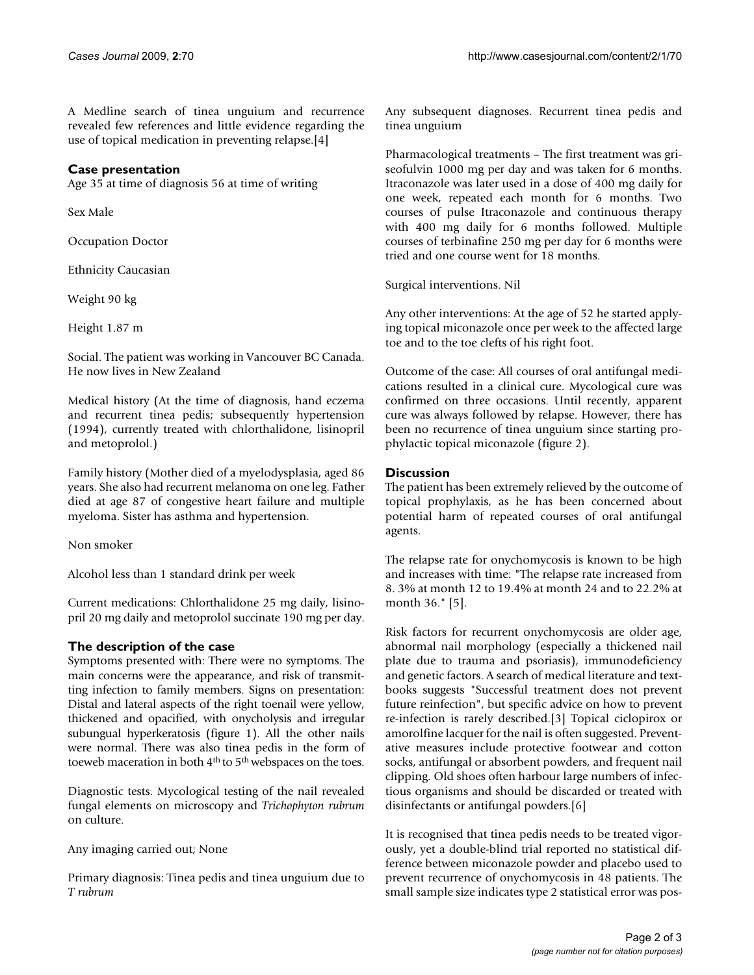A Medline search of tinea unguium and recurrence revealed few references and little evidence regarding the use of topical medication in preventing relapse.[\[4\]](#page-2-3)

#### **Case presentation**

Age 35 at time of diagnosis 56 at time of writing

Sex Male

Occupation Doctor

Ethnicity Caucasian

Weight 90 kg

Height 1.87 m

Social. The patient was working in Vancouver BC Canada. He now lives in New Zealand

Medical history (At the time of diagnosis, hand eczema and recurrent tinea pedis; subsequently hypertension (1994), currently treated with chlorthalidone, lisinopril and metoprolol.)

Family history (Mother died of a myelodysplasia, aged 86 years. She also had recurrent melanoma on one leg. Father died at age 87 of congestive heart failure and multiple myeloma. Sister has asthma and hypertension.

Non smoker

Alcohol less than 1 standard drink per week

Current medications: Chlorthalidone 25 mg daily, lisinopril 20 mg daily and metoprolol succinate 190 mg per day.

#### **The description of the case**

Symptoms presented with: There were no symptoms. The main concerns were the appearance, and risk of transmitting infection to family members. Signs on presentation: Distal and lateral aspects of the right toenail were yellow, thickened and opacified, with onycholysis and irregular subungual hyperkeratosis (figure [1\)](#page-2-4). All the other nails were normal. There was also tinea pedis in the form of toeweb maceration in both 4th to 5th webspaces on the toes.

Diagnostic tests. Mycological testing of the nail revealed fungal elements on microscopy and *Trichophyton rubrum* on culture.

Any imaging carried out; None

Primary diagnosis: Tinea pedis and tinea unguium due to *T rubrum*

Any subsequent diagnoses. Recurrent tinea pedis and tinea unguium

Pharmacological treatments – The first treatment was griseofulvin 1000 mg per day and was taken for 6 months. Itraconazole was later used in a dose of 400 mg daily for one week, repeated each month for 6 months. Two courses of pulse Itraconazole and continuous therapy with 400 mg daily for 6 months followed. Multiple courses of terbinafine 250 mg per day for 6 months were tried and one course went for 18 months.

Surgical interventions. Nil

Any other interventions: At the age of 52 he started applying topical miconazole once per week to the affected large toe and to the toe clefts of his right foot.

Outcome of the case: All courses of oral antifungal medications resulted in a clinical cure. Mycological cure was confirmed on three occasions. Until recently, apparent cure was always followed by relapse. However, there has been no recurrence of tinea unguium since starting prophylactic topical miconazole (figure [2\)](#page-2-5).

#### **Discussion**

The patient has been extremely relieved by the outcome of topical prophylaxis, as he has been concerned about potential harm of repeated courses of oral antifungal agents.

The relapse rate for onychomycosis is known to be high and increases with time: "The relapse rate increased from 8. 3% at month 12 to 19.4% at month 24 and to 22.2% at month 36." [\[5](#page-2-6)].

Risk factors for recurrent onychomycosis are older age, abnormal nail morphology (especially a thickened nail plate due to trauma and psoriasis), immunodeficiency and genetic factors. A search of medical literature and textbooks suggests "Successful treatment does not prevent future reinfection", but specific advice on how to prevent re-infection is rarely described.[[3](#page-2-2)] Topical ciclopirox or amorolfine lacquer for the nail is often suggested. Preventative measures include protective footwear and cotton socks, antifungal or absorbent powders, and frequent nail clipping. Old shoes often harbour large numbers of infectious organisms and should be discarded or treated with disinfectants or antifungal powders.[\[6\]](#page-2-7)

It is recognised that tinea pedis needs to be treated vigorously, yet a double-blind trial reported no statistical difference between miconazole powder and placebo used to prevent recurrence of onychomycosis in 48 patients. The small sample size indicates type 2 statistical error was pos-